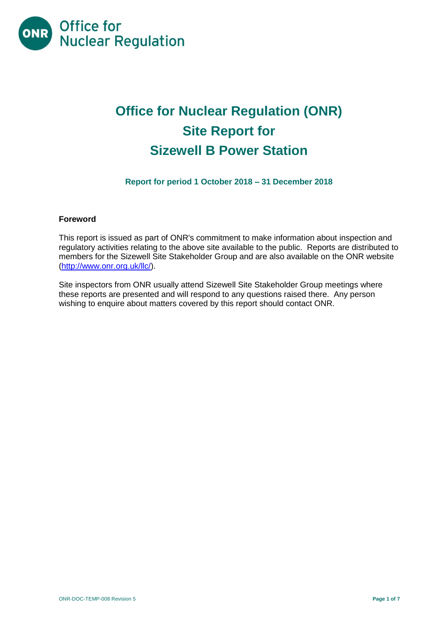

# **Office for Nuclear Regulation (ONR) Site Report for Sizewell B Power Station**

**Report for period 1 October 2018 – 31 December 2018**

# **Foreword**

This report is issued as part of ONR's commitment to make information about inspection and regulatory activities relating to the above site available to the public. Reports are distributed to members for the Sizewell Site Stakeholder Group and are also available on the ONR website [\(http://www.onr.org.uk/llc/\)](http://www.onr.org.uk/llc/).

Site inspectors from ONR usually attend Sizewell Site Stakeholder Group meetings where these reports are presented and will respond to any questions raised there. Any person wishing to enquire about matters covered by this report should contact ONR.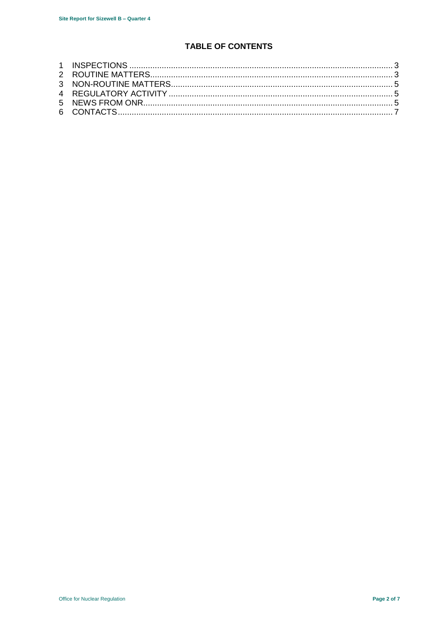# **TABLE OF CONTENTS**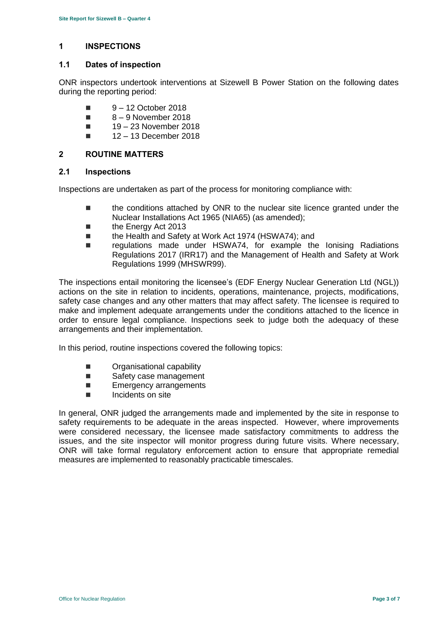# <span id="page-2-0"></span>**1 INSPECTIONS**

#### **1.1 Dates of inspection**

ONR inspectors undertook interventions at Sizewell B Power Station on the following dates during the reporting period:

- $\blacksquare$  9 12 October 2018
- $8 9$  November 2018
- $19 23$  November 2018
- $12 13$  December 2018

# <span id="page-2-1"></span>**2 ROUTINE MATTERS**

### **2.1 Inspections**

Inspections are undertaken as part of the process for monitoring compliance with:

- the conditions attached by ONR to the nuclear site licence granted under the Nuclear Installations Act 1965 (NIA65) (as amended);
- the Energy Act 2013
- the Health and Safety at Work Act 1974 (HSWA74); and
- regulations made under HSWA74, for example the Ionising Radiations Regulations 2017 (IRR17) and the Management of Health and Safety at Work Regulations 1999 (MHSWR99).

The inspections entail monitoring the licensee's (EDF Energy Nuclear Generation Ltd (NGL)) actions on the site in relation to incidents, operations, maintenance, projects, modifications, safety case changes and any other matters that may affect safety. The licensee is required to make and implement adequate arrangements under the conditions attached to the licence in order to ensure legal compliance. Inspections seek to judge both the adequacy of these arrangements and their implementation.

In this period, routine inspections covered the following topics:

- **Deciment** Organisational capability
- Safety case management
- **Emergency arrangements**
- **Incidents on site**

In general, ONR judged the arrangements made and implemented by the site in response to safety requirements to be adequate in the areas inspected. However, where improvements were considered necessary, the licensee made satisfactory commitments to address the issues, and the site inspector will monitor progress during future visits. Where necessary, ONR will take formal regulatory enforcement action to ensure that appropriate remedial measures are implemented to reasonably practicable timescales.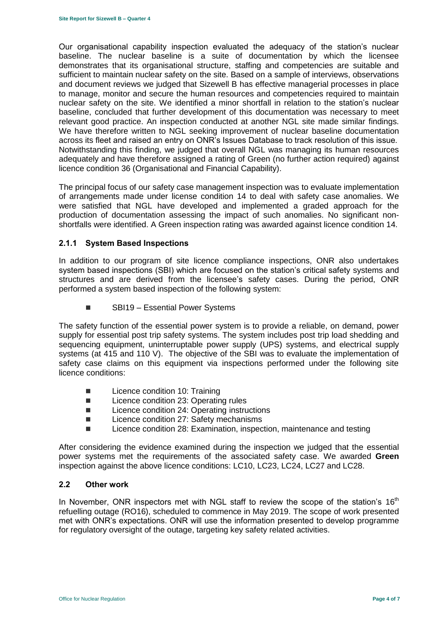Our organisational capability inspection evaluated the adequacy of the station's nuclear baseline. The nuclear baseline is a suite of documentation by which the licensee demonstrates that its organisational structure, staffing and competencies are suitable and sufficient to maintain nuclear safety on the site. Based on a sample of interviews, observations and document reviews we judged that Sizewell B has effective managerial processes in place to manage, monitor and secure the human resources and competencies required to maintain nuclear safety on the site. We identified a minor shortfall in relation to the station's nuclear baseline, concluded that further development of this documentation was necessary to meet relevant good practice. An inspection conducted at another NGL site made similar findings. We have therefore written to NGL seeking improvement of nuclear baseline documentation across its fleet and raised an entry on ONR's Issues Database to track resolution of this issue. Notwithstanding this finding, we judged that overall NGL was managing its human resources adequately and have therefore assigned a rating of Green (no further action required) against licence condition 36 (Organisational and Financial Capability).

The principal focus of our safety case management inspection was to evaluate implementation of arrangements made under license condition 14 to deal with safety case anomalies. We were satisfied that NGL have developed and implemented a graded approach for the production of documentation assessing the impact of such anomalies. No significant nonshortfalls were identified. A Green inspection rating was awarded against licence condition 14.

# **2.1.1 System Based Inspections**

In addition to our program of site licence compliance inspections, ONR also undertakes system based inspections (SBI) which are focused on the station's critical safety systems and structures and are derived from the licensee's safety cases. During the period, ONR performed a system based inspection of the following system:

■ SBI19 – Essential Power Systems

The safety function of the essential power system is to provide a reliable, on demand, power supply for essential post trip safety systems. The system includes post trip load shedding and sequencing equipment, uninterruptable power supply (UPS) systems, and electrical supply systems (at 415 and 110 V). The objective of the SBI was to evaluate the implementation of safety case claims on this equipment via inspections performed under the following site licence conditions:

- **Licence condition 10: Training**
- Licence condition 23: Operating rules
- Licence condition 24: Operating instructions
- Licence condition 27: Safety mechanisms
- Licence condition 28: Examination, inspection, maintenance and testing

After considering the evidence examined during the inspection we judged that the essential power systems met the requirements of the associated safety case. We awarded **Green** inspection against the above licence conditions: LC10, LC23, LC24, LC27 and LC28.

#### **2.2 Other work**

In November, ONR inspectors met with NGL staff to review the scope of the station's  $16<sup>th</sup>$ refuelling outage (RO16), scheduled to commence in May 2019. The scope of work presented met with ONR's expectations. ONR will use the information presented to develop programme for regulatory oversight of the outage, targeting key safety related activities.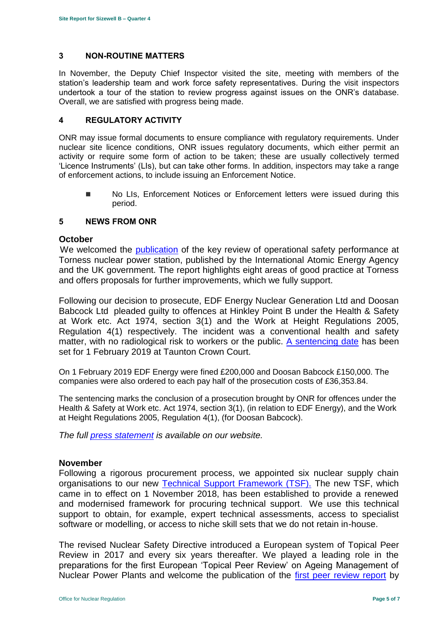# <span id="page-4-0"></span>**3 NON-ROUTINE MATTERS**

In November, the Deputy Chief Inspector visited the site, meeting with members of the station's leadership team and work force safety representatives. During the visit inspectors undertook a tour of the station to review progress against issues on the ONR's database. Overall, we are satisfied with progress being made.

# <span id="page-4-1"></span>**4 REGULATORY ACTIVITY**

ONR may issue formal documents to ensure compliance with regulatory requirements. Under nuclear site licence conditions, ONR issues regulatory documents, which either permit an activity or require some form of action to be taken; these are usually collectively termed 'Licence Instruments' (LIs), but can take other forms. In addition, inspectors may take a range of enforcement actions, to include issuing an Enforcement Notice.

**No LIs, Enforcement Notices or Enforcement letters were issued during this** period.

# <span id="page-4-2"></span>**5 NEWS FROM ONR**

# **October**

We welcomed the [publication](http://news.onr.org.uk/2018/10/iaea-review-torness-power-station/) of the key review of operational safety performance at Torness nuclear power station, published by the International Atomic Energy Agency and the UK government. The report highlights eight areas of good practice at Torness and offers proposals for further improvements, which we fully support.

Following our decision to prosecute, EDF Energy Nuclear Generation Ltd and Doosan Babcock Ltd pleaded guilty to offences at Hinkley Point B under the Health & Safety at Work etc. Act 1974, section 3(1) and the Work at Height Regulations 2005, Regulation 4(1) respectively. The incident was a conventional health and safety matter, with no radiological risk to workers or the public. [A sentencing date](http://news.onr.org.uk/2018/10/edf-and-doosan-babcock-plead-guilty/) has been set for 1 February 2019 at Taunton Crown Court.

On 1 February 2019 EDF Energy were fined £200,000 and Doosan Babcock £150,000. The companies were also ordered to each pay half of the prosecution costs of £36,353.84.

The sentencing marks the conclusion of a prosecution brought by ONR for offences under the Health & Safety at Work etc. Act 1974, section 3(1), (in relation to EDF Energy), and the Work at Height Regulations 2005, Regulation 4(1), (for Doosan Babcock).

*The full [press statement](http://news.onr.org.uk/2019/02/companies-fined-for-health-and-safety-breaches/) is available on our website.*

# **November**

Following a rigorous procurement process, we appointed six nuclear supply chain organisations to our new [Technical Support Framework \(TSF\).](http://news.onr.org.uk/2018/11/new-technical-support-framework-announced/) The new TSF, which came in to effect on 1 November 2018, has been established to provide a renewed and modernised framework for procuring technical support. We use this technical support to obtain, for example, expert technical assessments, access to specialist software or modelling, or access to niche skill sets that we do not retain in-house.

The revised Nuclear Safety Directive introduced a European system of Topical Peer Review in 2017 and every six years thereafter. We played a leading role in the preparations for the first European 'Topical Peer Review' on Ageing Management of Nuclear Power Plants and welcome the publication of the [first peer review report](http://news.onr.org.uk/2018/11/onr-welcomes-first-topical-peer-review/) by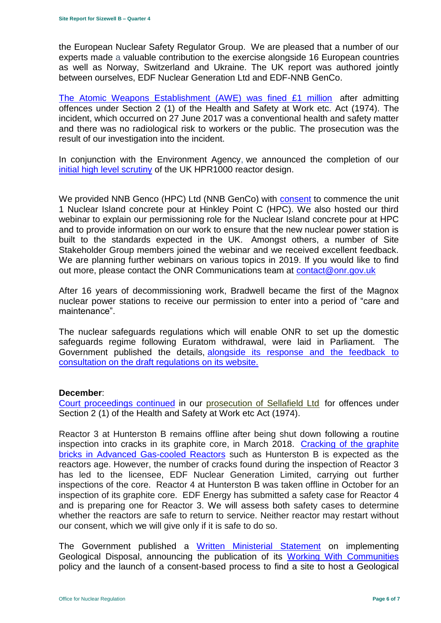the European Nuclear Safety Regulator Group. We are pleased that a number of our experts made a valuable contribution to the exercise alongside 16 European countries as well as Norway, Switzerland and Ukraine. The UK report was authored jointly between ourselves, EDF Nuclear Generation Ltd and EDF-NNB GenCo.

[The Atomic Weapons Establishment \(AWE\) was fined £1 million](http://news.onr.org.uk/2018/11/awe-prosecution-reaction/) after admitting offences under Section 2 (1) of the Health and Safety at Work etc. Act (1974). The incident, which occurred on 27 June 2017 was a conventional health and safety matter and there was no radiological risk to workers or the public. The prosecution was the result of our investigation into the incident.

In conjunction with the Environment Agency, we announced the completion of our [initial high level scrutiny](http://news.onr.org.uk/2018/11/uk-hpr1000-completes-gda-step-2/) of the UK HPR1000 reactor design.

We provided NNB Genco (HPC) Ltd (NNB GenCo) with [consent](http://news.onr.org.uk/2018/11/consent-for-hinkley-point-c-nuclear-island-concrete-pour/) to commence the unit 1 Nuclear Island concrete pour at Hinkley Point C (HPC). We also hosted our third webinar to explain our permissioning role for the Nuclear Island concrete pour at HPC and to provide information on our work to ensure that the new nuclear power station is built to the standards expected in the UK. Amongst others, a number of Site Stakeholder Group members joined the webinar and we received excellent feedback. We are planning further webinars on various topics in 2019. If you would like to find out more, please contact the ONR Communications team at [contact@onr.gov.uk](mailto:contact@onr.gov.uk)

After 16 years of decommissioning work, Bradwell became the first of the Magnox nuclear power stations to receive our permission to enter into a period of "care and maintenance".

The nuclear safeguards regulations which will enable ONR to set up the domestic safeguards regime following Euratom withdrawal, were laid in Parliament. The Government published the details, [alongside its response and the feedback to](https://www.gov.uk/government/consultations/nuclear-safeguards-regulations)  [consultation on the draft regulations on its website.](https://www.gov.uk/government/consultations/nuclear-safeguards-regulations)

# **December**:

[Court proceedings continued](http://news.onr.org.uk/2018/12/prosecution-of-sellafield-ltd/) in our [prosecution of Sellafield Ltd](http://news.onr.org.uk/2018/07/update-prosecution-of-sellafield-ltd/) for offences under Section 2 (1) of the Health and Safety at Work etc Act (1974).

Reactor 3 at Hunterston B remains offline after being shut down following a routine inspection into cracks in its graphite core, in March 2018. [Cracking of the graphite](http://www.onr.org.uk/civil-nuclear-reactors/graphite-core-of-agrs.htm)  [bricks in Advanced Gas-cooled Reactors](http://www.onr.org.uk/civil-nuclear-reactors/graphite-core-of-agrs.htm) such as Hunterston B is expected as the reactors age. However, the number of cracks found during the inspection of Reactor 3 has led to the licensee, EDF Nuclear Generation Limited, carrying out further inspections of the core. Reactor 4 at Hunterston B was taken offline in October for an inspection of its graphite core. EDF Energy has submitted a safety case for Reactor 4 and is preparing one for Reactor 3. We will assess both safety cases to determine whether the reactors are safe to return to service. Neither reactor may restart without our consent, which we will give only if it is safe to do so.

The Government published a [Written Ministerial Statement](https://www.parliament.uk/business/publications/written-questions-answers-statements/written-statement/Commons/2018-12-19/HCWS1217/) on implementing Geological Disposal, announcing the publication of its [Working With Communities](https://www.gov.uk/government/publications/implementing-geological-disposal-working-with-communities-long-term-management-of-higher-activity-radioactive-waste) policy and the launch of a consent-based process to find a site to host a Geological